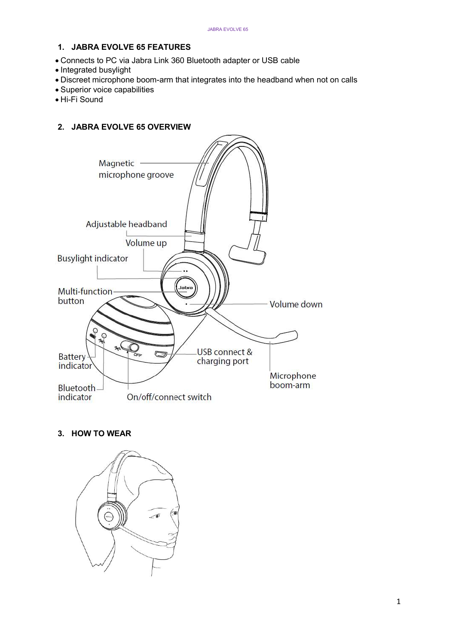# 1. JABRA EVOLVE 65 FEATURES

- Connects to PC via Jabra Link 360 Bluetooth adapter or USB cable
- Integrated busylight
- Discreet microphone boom-arm that integrates into the headband when not on calls
- Superior voice capabilities
- Hi-Fi Sound

## 2. JABRA EVOLVE 65 OVERVIEW



# 3. HOW TO WEAR

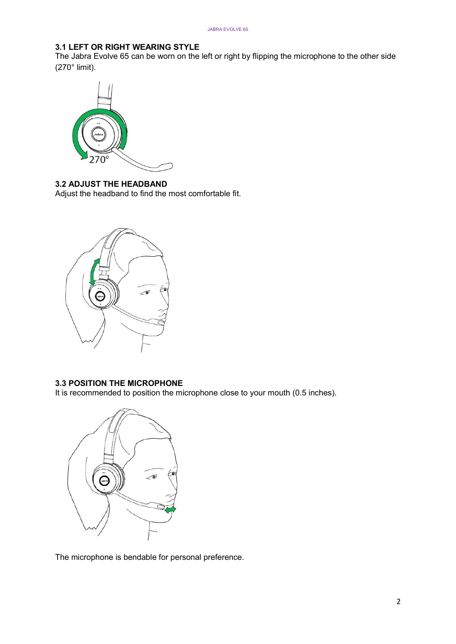## 3.1 LEFT OR RIGHT WEARING STYLE

The Jabra Evolve 65 can be worn on the left or right by flipping the microphone to the other side (270° limit).



#### 3.2 ADJUST THE HEADBAND

Adjust the headband to find the most comfortable fit.



## 3.3 POSITION THE MICROPHONE

It is recommended to position the microphone close to your mouth (0.5 inches).



The microphone is bendable for personal preference.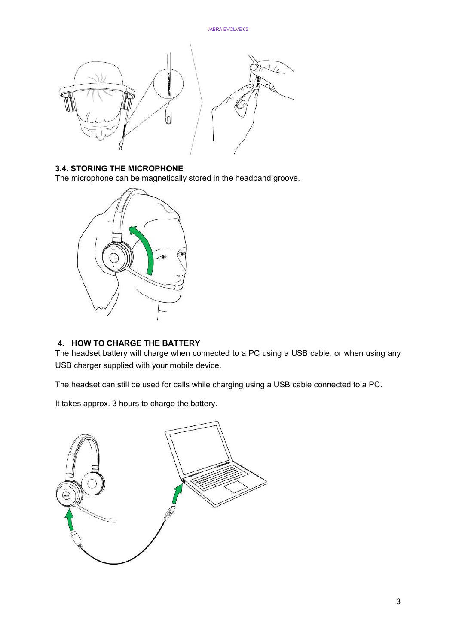

#### 3.4. STORING THE MICROPHONE

The microphone can be magnetically stored in the headband groove.



#### 4. HOW TO CHARGE THE BATTERY

The headset battery will charge when connected to a PC using a USB cable, or when using any USB charger supplied with your mobile device.

The headset can still be used for calls while charging using a USB cable connected to a PC.

It takes approx. 3 hours to charge the battery.

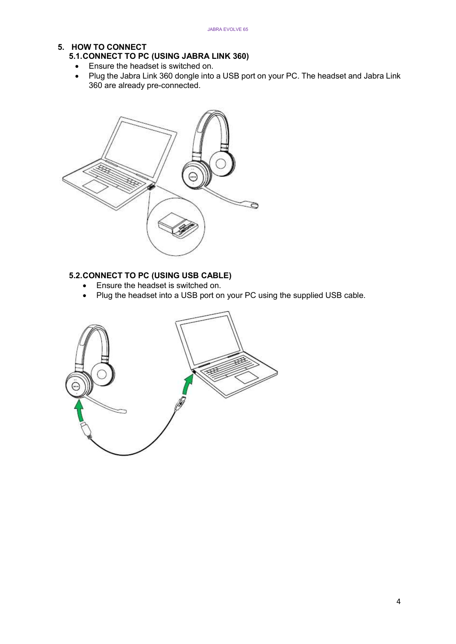## 5. HOW TO CONNECT

- 5.1. CONNECT TO PC (USING JABRA LINK 360)
	- Ensure the headset is switched on.
	- Plug the Jabra Link 360 dongle into a USB port on your PC. The headset and Jabra Link 360 are already pre-connected.



### 5.2. CONNECT TO PC (USING USB CABLE)

- Ensure the headset is switched on.
- Plug the headset into a USB port on your PC using the supplied USB cable.

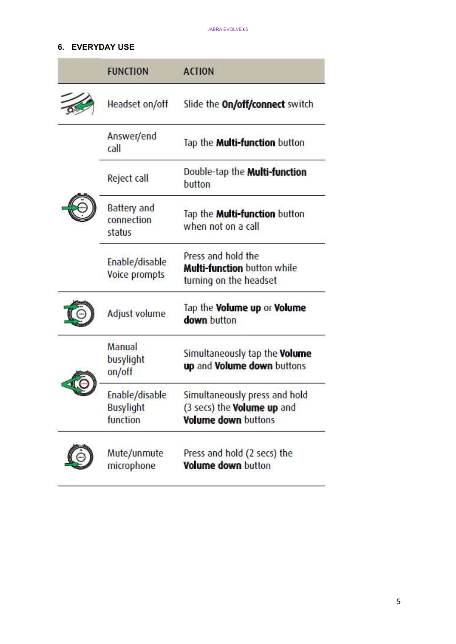# 6. EVERYDAY USE

| <b>FUNCTION</b>                                | <b>ACTION</b>                                                                                    |
|------------------------------------------------|--------------------------------------------------------------------------------------------------|
| Headset on/off                                 | Slide the <b>On/off/connect</b> switch                                                           |
| Answer/end<br>call                             | Tap the <b>Multi-function</b> button                                                             |
| Reject call<br>button                          | Double-tap the <b>Multi-function</b>                                                             |
| Battery and<br>connection<br>status            | Tap the <b>Multi-function</b> button<br>when not on a call                                       |
| Enable/disable<br>Voice prompts                | Press and hold the<br><b>Multi-function</b> button while<br>turning on the headset               |
| Adjust volume                                  | Tap the Volume up or Volume<br>down button                                                       |
| Manual<br>busylight<br>on/off                  | Simultaneously tap the <b>Volume</b><br>up and Volume down buttons                               |
| Enable/disable<br><b>Busylight</b><br>function | Simultaneously press and hold<br>(3 secs) the <b>Volume up</b> and<br><b>Volume down buttons</b> |
| Mute/unmute<br>microphone                      | Press and hold (2 secs) the<br>Volume down button                                                |